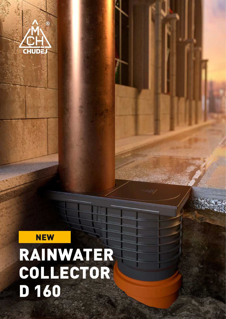

## NEW RAINWATER COLLECTOR D 160